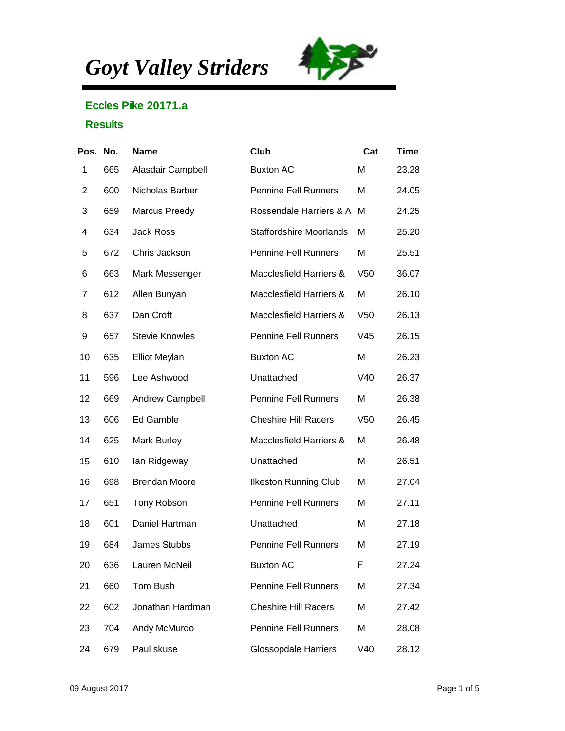*Goyt Valley Striders*



## Eccles Pike 20171.a

## **Results**

| Pos. No.       |     | Name                  | Club                           | Cat             | Time  |
|----------------|-----|-----------------------|--------------------------------|-----------------|-------|
| 1              | 665 | Alasdair Campbell     | <b>Buxton AC</b>               | M               | 23.28 |
| $\overline{2}$ | 600 | Nicholas Barber       | <b>Pennine Fell Runners</b>    | Μ               | 24.05 |
| 3              | 659 | <b>Marcus Preedy</b>  | Rossendale Harriers & A M      |                 | 24.25 |
| 4              | 634 | <b>Jack Ross</b>      | <b>Staffordshire Moorlands</b> | м               | 25.20 |
| 5              | 672 | Chris Jackson         | <b>Pennine Fell Runners</b>    | M               | 25.51 |
| 6              | 663 | Mark Messenger        | Macclesfield Harriers &        | V <sub>50</sub> | 36.07 |
| 7              | 612 | Allen Bunyan          | Macclesfield Harriers &        | M               | 26.10 |
| 8              | 637 | Dan Croft             | Macclesfield Harriers &        | V <sub>50</sub> | 26.13 |
| 9              | 657 | <b>Stevie Knowles</b> | <b>Pennine Fell Runners</b>    | V45             | 26.15 |
| 10             | 635 | <b>Elliot Meylan</b>  | <b>Buxton AC</b>               | M               | 26.23 |
| 11             | 596 | Lee Ashwood           | Unattached                     | V40             | 26.37 |
| 12             | 669 | Andrew Campbell       | <b>Pennine Fell Runners</b>    | M               | 26.38 |
| 13             | 606 | Ed Gamble             | <b>Cheshire Hill Racers</b>    | V <sub>50</sub> | 26.45 |
| 14             | 625 | Mark Burley           | Macclesfield Harriers &        | м               | 26.48 |
| 15             | 610 | lan Ridgeway          | Unattached                     | M               | 26.51 |
| 16             | 698 | <b>Brendan Moore</b>  | <b>Ilkeston Running Club</b>   | M               | 27.04 |
| 17             | 651 | Tony Robson           | <b>Pennine Fell Runners</b>    | M               | 27.11 |
| 18             | 601 | Daniel Hartman        | Unattached                     | M               | 27.18 |
| 19             | 684 | <b>James Stubbs</b>   | <b>Pennine Fell Runners</b>    | M               | 27.19 |
| 20             | 636 | Lauren McNeil         | <b>Buxton AC</b>               | F               | 27.24 |
| 21             | 660 | Tom Bush              | <b>Pennine Fell Runners</b>    | M               | 27.34 |
| 22             | 602 | Jonathan Hardman      | <b>Cheshire Hill Racers</b>    | M               | 27.42 |
| 23             | 704 | Andy McMurdo          | <b>Pennine Fell Runners</b>    | Μ               | 28.08 |
| 24             | 679 | Paul skuse            | <b>Glossopdale Harriers</b>    | V40             | 28.12 |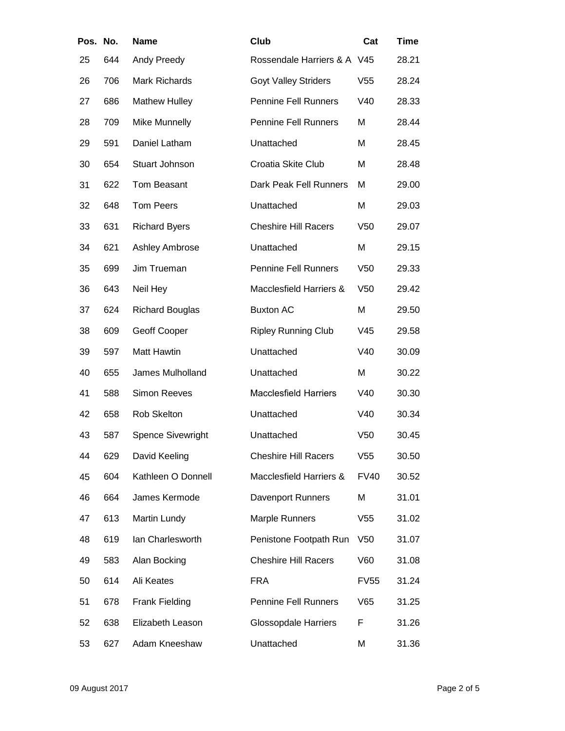| Pos. No. |     | Name                     | Club                         | Cat             | Time  |
|----------|-----|--------------------------|------------------------------|-----------------|-------|
| 25       | 644 | Andy Preedy              | Rossendale Harriers & A V45  |                 | 28.21 |
| 26       | 706 | Mark Richards            | <b>Goyt Valley Striders</b>  | V55             | 28.24 |
| 27       | 686 | <b>Mathew Hulley</b>     | <b>Pennine Fell Runners</b>  | V40             | 28.33 |
| 28       | 709 | <b>Mike Munnelly</b>     | <b>Pennine Fell Runners</b>  | M               | 28.44 |
| 29       | 591 | Daniel Latham            | Unattached                   | Μ               | 28.45 |
| 30       | 654 | Stuart Johnson           | Croatia Skite Club           | M               | 28.48 |
| 31       | 622 | Tom Beasant              | Dark Peak Fell Runners       | M               | 29.00 |
| 32       | 648 | <b>Tom Peers</b>         | Unattached                   | Μ               | 29.03 |
| 33       | 631 | <b>Richard Byers</b>     | <b>Cheshire Hill Racers</b>  | V <sub>50</sub> | 29.07 |
| 34       | 621 | <b>Ashley Ambrose</b>    | Unattached                   | M               | 29.15 |
| 35       | 699 | Jim Trueman              | <b>Pennine Fell Runners</b>  | V <sub>50</sub> | 29.33 |
| 36       | 643 | Neil Hey                 | Macclesfield Harriers &      | V <sub>50</sub> | 29.42 |
| 37       | 624 | <b>Richard Bouglas</b>   | <b>Buxton AC</b>             | M               | 29.50 |
| 38       | 609 | Geoff Cooper             | <b>Ripley Running Club</b>   | V45             | 29.58 |
| 39       | 597 | <b>Matt Hawtin</b>       | Unattached                   | V40             | 30.09 |
| 40       | 655 | James Mulholland         | Unattached                   | Μ               | 30.22 |
| 41       | 588 | <b>Simon Reeves</b>      | <b>Macclesfield Harriers</b> | V40             | 30.30 |
| 42       | 658 | Rob Skelton              | Unattached                   | V40             | 30.34 |
| 43       | 587 | <b>Spence Sivewright</b> | Unattached                   | V <sub>50</sub> | 30.45 |
| 44       | 629 | David Keeling            | <b>Cheshire Hill Racers</b>  | V55             | 30.50 |
| 45       | 604 | Kathleen O Donnell       | Macclesfield Harriers &      | <b>FV40</b>     | 30.52 |
| 46       | 664 | James Kermode            | <b>Davenport Runners</b>     | M               | 31.01 |
| 47       | 613 | Martin Lundy             | <b>Marple Runners</b>        | V <sub>55</sub> | 31.02 |
| 48       | 619 | Ian Charlesworth         | Penistone Footpath Run       | V <sub>50</sub> | 31.07 |
| 49       | 583 | Alan Bocking             | <b>Cheshire Hill Racers</b>  | V60             | 31.08 |
| 50       | 614 | Ali Keates               | <b>FRA</b>                   | <b>FV55</b>     | 31.24 |
| 51       | 678 | Frank Fielding           | <b>Pennine Fell Runners</b>  | V65             | 31.25 |
| 52       | 638 | Elizabeth Leason         | <b>Glossopdale Harriers</b>  | F               | 31.26 |
| 53       | 627 | Adam Kneeshaw            | Unattached                   | M               | 31.36 |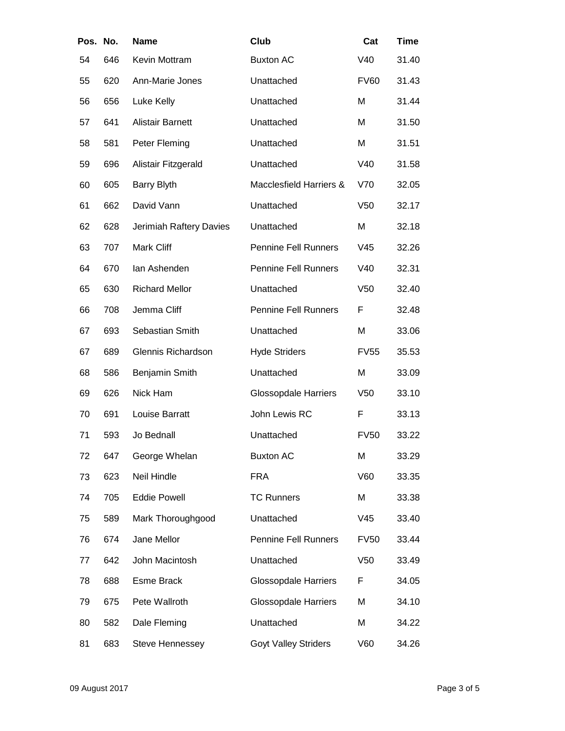| Pos. No. |     | Name                    | Club                        | Cat             | <b>Time</b> |
|----------|-----|-------------------------|-----------------------------|-----------------|-------------|
| 54       | 646 | Kevin Mottram           | <b>Buxton AC</b>            | V40             | 31.40       |
| 55       | 620 | Ann-Marie Jones         | Unattached                  | <b>FV60</b>     | 31.43       |
| 56       | 656 | Luke Kelly              | Unattached                  | M               | 31.44       |
| 57       | 641 | Alistair Barnett        | Unattached                  | M               | 31.50       |
| 58       | 581 | Peter Fleming           | Unattached                  | M               | 31.51       |
| 59       | 696 | Alistair Fitzgerald     | Unattached                  | V40             | 31.58       |
| 60       | 605 | <b>Barry Blyth</b>      | Macclesfield Harriers &     | V70             | 32.05       |
| 61       | 662 | David Vann              | Unattached                  | V <sub>50</sub> | 32.17       |
| 62       | 628 | Jerimiah Raftery Davies | Unattached                  | M               | 32.18       |
| 63       | 707 | Mark Cliff              | <b>Pennine Fell Runners</b> | V45             | 32.26       |
| 64       | 670 | lan Ashenden            | <b>Pennine Fell Runners</b> | V40             | 32.31       |
| 65       | 630 | <b>Richard Mellor</b>   | Unattached                  | V <sub>50</sub> | 32.40       |
| 66       | 708 | Jemma Cliff             | <b>Pennine Fell Runners</b> | F               | 32.48       |
| 67       | 693 | Sebastian Smith         | Unattached                  | M               | 33.06       |
| 67       | 689 | Glennis Richardson      | <b>Hyde Striders</b>        | <b>FV55</b>     | 35.53       |
| 68       | 586 | Benjamin Smith          | Unattached                  | M               | 33.09       |
| 69       | 626 | Nick Ham                | <b>Glossopdale Harriers</b> | V50             | 33.10       |
| 70       | 691 | Louise Barratt          | John Lewis RC               | F               | 33.13       |
| 71       | 593 | Jo Bednall              | Unattached                  | <b>FV50</b>     | 33.22       |
| 72       | 647 | George Whelan           | <b>Buxton AC</b>            | M               | 33.29       |
| 73       | 623 | Neil Hindle             | <b>FRA</b>                  | V60             | 33.35       |
| 74       | 705 | <b>Eddie Powell</b>     | <b>TC Runners</b>           | M               | 33.38       |
| 75       | 589 | Mark Thoroughgood       | Unattached                  | V45             | 33.40       |
| 76       | 674 | Jane Mellor             | <b>Pennine Fell Runners</b> | <b>FV50</b>     | 33.44       |
| 77       | 642 | John Macintosh          | Unattached                  | V <sub>50</sub> | 33.49       |
| 78       | 688 | Esme Brack              | <b>Glossopdale Harriers</b> | F               | 34.05       |
| 79       | 675 | Pete Wallroth           | <b>Glossopdale Harriers</b> | M               | 34.10       |
| 80       | 582 | Dale Fleming            | Unattached                  | M               | 34.22       |
| 81       | 683 | <b>Steve Hennessey</b>  | <b>Goyt Valley Striders</b> | V60             | 34.26       |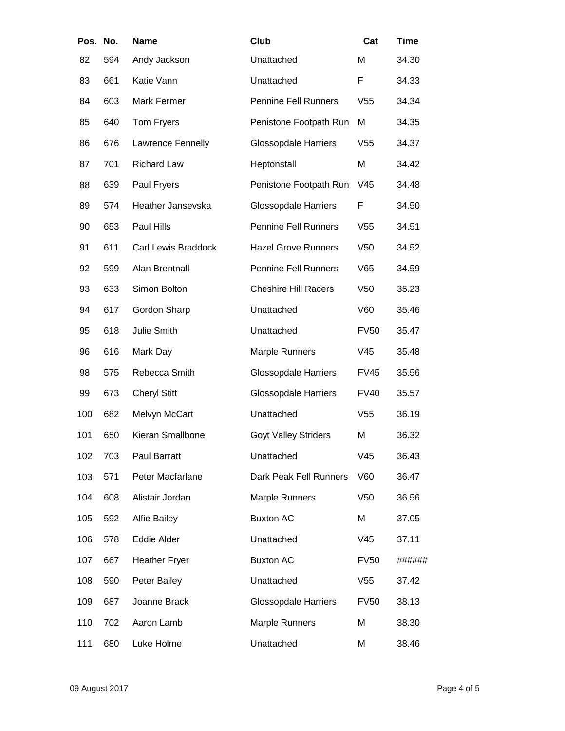| Pos. No. |     | Name                       | Club                        | Cat             | Time   |
|----------|-----|----------------------------|-----------------------------|-----------------|--------|
| 82       | 594 | Andy Jackson               | Unattached                  | M               | 34.30  |
| 83       | 661 | Katie Vann                 | Unattached                  | F               | 34.33  |
| 84       | 603 | Mark Fermer                | <b>Pennine Fell Runners</b> | V <sub>55</sub> | 34.34  |
| 85       | 640 | Tom Fryers                 | Penistone Footpath Run      | M               | 34.35  |
| 86       | 676 | Lawrence Fennelly          | <b>Glossopdale Harriers</b> | V <sub>55</sub> | 34.37  |
| 87       | 701 | <b>Richard Law</b>         | Heptonstall                 | M               | 34.42  |
| 88       | 639 | Paul Fryers                | Penistone Footpath Run      | V45             | 34.48  |
| 89       | 574 | Heather Jansevska          | <b>Glossopdale Harriers</b> | F               | 34.50  |
| 90       | 653 | Paul Hills                 | <b>Pennine Fell Runners</b> | V55             | 34.51  |
| 91       | 611 | <b>Carl Lewis Braddock</b> | <b>Hazel Grove Runners</b>  | V <sub>50</sub> | 34.52  |
| 92       | 599 | Alan Brentnall             | <b>Pennine Fell Runners</b> | V65             | 34.59  |
| 93       | 633 | Simon Bolton               | <b>Cheshire Hill Racers</b> | V <sub>50</sub> | 35.23  |
| 94       | 617 | Gordon Sharp               | Unattached                  | V60             | 35.46  |
| 95       | 618 | Julie Smith                | Unattached                  | <b>FV50</b>     | 35.47  |
| 96       | 616 | Mark Day                   | <b>Marple Runners</b>       | V45             | 35.48  |
| 98       | 575 | Rebecca Smith              | <b>Glossopdale Harriers</b> | <b>FV45</b>     | 35.56  |
| 99       | 673 | <b>Cheryl Stitt</b>        | <b>Glossopdale Harriers</b> | <b>FV40</b>     | 35.57  |
| 100      | 682 | Melvyn McCart              | Unattached                  | V <sub>55</sub> | 36.19  |
| 101      | 650 | Kieran Smallbone           | <b>Goyt Valley Striders</b> | M               | 36.32  |
| 102      | 703 | Paul Barratt               | Unattached                  | V45             | 36.43  |
| 103      | 571 | Peter Macfarlane           | Dark Peak Fell Runners      | V60             | 36.47  |
| 104      | 608 | Alistair Jordan            | <b>Marple Runners</b>       | V <sub>50</sub> | 36.56  |
| 105      | 592 | <b>Alfie Bailey</b>        | <b>Buxton AC</b>            | M               | 37.05  |
| 106      | 578 | Eddie Alder                | Unattached                  | V45             | 37.11  |
| 107      | 667 | <b>Heather Fryer</b>       | <b>Buxton AC</b>            | <b>FV50</b>     | ###### |
| 108      | 590 | Peter Bailey               | Unattached                  | V <sub>55</sub> | 37.42  |
| 109      | 687 | Joanne Brack               | <b>Glossopdale Harriers</b> | <b>FV50</b>     | 38.13  |
| 110      | 702 | Aaron Lamb                 | <b>Marple Runners</b>       | M               | 38.30  |
| 111      | 680 | Luke Holme                 | Unattached                  | M               | 38.46  |